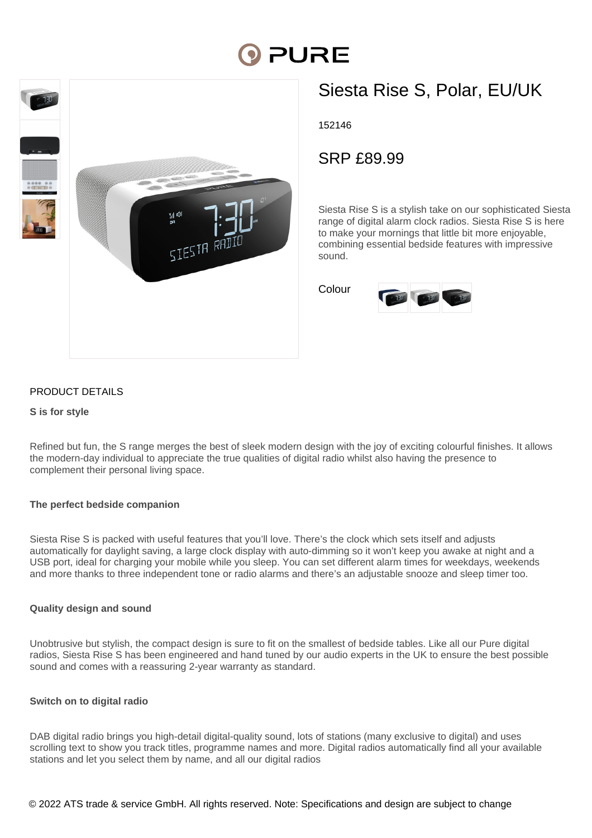# **PURE**



# Siesta Rise S, Polar, EU/UK

152146

SRP £89.99

Siesta Rise S is a stylish take on our sophisticated Siesta range of digital alarm clock radios. Siesta Rise S is here to make your mornings that little bit more enjoyable, combining essential bedside features with impressive sound.

Colour



## PRODUCT DETAILS

#### **S is for style**

Refined but fun, the S range merges the best of sleek modern design with the joy of exciting colourful finishes. It allows the modern-day individual to appreciate the true qualities of digital radio whilst also having the presence to complement their personal living space.

### **The perfect bedside companion**

Siesta Rise S is packed with useful features that you'll love. There's the clock which sets itself and adjusts automatically for daylight saving, a large clock display with auto-dimming so it won't keep you awake at night and a USB port, ideal for charging your mobile while you sleep. You can set different alarm times for weekdays, weekends and more thanks to three independent tone or radio alarms and there's an adjustable snooze and sleep timer too.

#### **Quality design and sound**

Unobtrusive but stylish, the compact design is sure to fit on the smallest of bedside tables. Like all our Pure digital radios, Siesta Rise S has been engineered and hand tuned by our audio experts in the UK to ensure the best possible sound and comes with a reassuring 2-year warranty as standard.

#### **Switch on to digital radio**

DAB digital radio brings you high-detail digital-quality sound, lots of stations (many exclusive to digital) and uses scrolling text to show you track titles, programme names and more. Digital radios automatically find all your available stations and let you select them by name, and all our digital radios